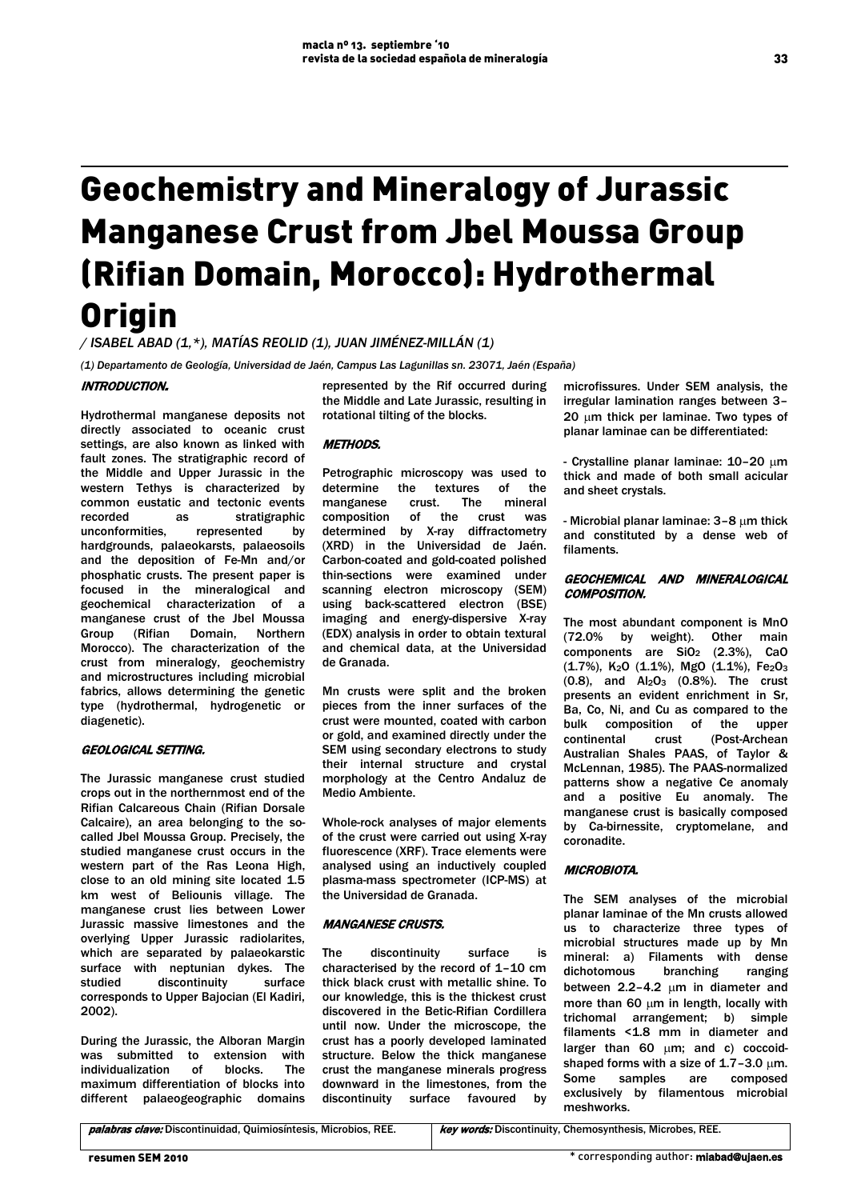# Geochemistry and Mineralogy of Jurassic Manganese Crust from Jbel Moussa Group (Rifian Domain, Morocco): Hydrothermal **Origin**

*/ ISABEL ABAD (1,\*), MATÍAS REOLID (1), JUAN JIMÉNEZ-MILLÁN (1)*

*(1) Departamento de Geología, Universidad de Jaén, Campus Las Lagunillas sn. 23071, Jaén (España)*

### INTRODUCTION.

Hydrothermal manganese deposits not directly associated to oceanic crust settings, are also known as linked with fault zones. The stratigraphic record of the Middle and Upper Jurassic in the western Tethys is characterized by common eustatic and tectonic events recorded as stratigraphic unconformities, represented by hardgrounds, palaeokarsts, palaeosoils and the deposition of Fe-Mn and/or phosphatic crusts. The present paper is focused in the mineralogical and geochemical characterization of a manganese crust of the Jbel Moussa<br>Group (Rifian Domain, Northern Group (Rifian Domain, Morocco). The characterization of the crust from mineralogy, geochemistry and microstructures including microbial fabrics, allows determining the genetic type (hydrothermal, hydrogenetic or diagenetic).

## GEOLOGICAL SETTING.

The Jurassic manganese crust studied crops out in the northernmost end of the Rifian Calcareous Chain (Rifian Dorsale Calcaire), an area belonging to the socalled Jbel Moussa Group. Precisely, the studied manganese crust occurs in the western part of the Ras Leona High, close to an old mining site located 1.5 km west of Beliounis village. The manganese crust lies between Lower Jurassic massive limestones and the overlying Upper Jurassic radiolarites, which are separated by palaeokarstic surface with neptunian dykes. The studied discontinuity surface corresponds to Upper Bajocian (El Kadiri, 2002).

During the Jurassic, the Alboran Margin was submitted to extension with individualization of blocks. The maximum differentiation of blocks into different palaeogeographic domains

represented by the Rif occurred during the Middle and Late Jurassic, resulting in rotational tilting of the blocks.

# METHODS.

Petrographic microscopy was used to determine the textures of the manganese crust. The mineral composition of the crust was determined by X-ray diffractometry (XRD) in the Universidad de Jaén. Carbon-coated and gold-coated polished thin-sections were examined under scanning electron microscopy (SEM) using back-scattered electron (BSE) imaging and energy-dispersive X-ray (EDX) analysis in order to obtain textural and chemical data, at the Universidad de Granada.

Mn crusts were split and the broken pieces from the inner surfaces of the crust were mounted, coated with carbon or gold, and examined directly under the SEM using secondary electrons to study their internal structure and crystal morphology at the Centro Andaluz de Medio Ambiente.

Whole-rock analyses of major elements of the crust were carried out using X-ray fluorescence (XRF). Trace elements were analysed using an inductively coupled plasma-mass spectrometer (ICP-MS) at the Universidad de Granada.

#### MANGANESE CRUSTS.

The discontinuity surface is characterised by the record of 1–10 cm thick black crust with metallic shine. To our knowledge, this is the thickest crust discovered in the Betic-Rifian Cordillera until now. Under the microscope, the crust has a poorly developed laminated structure. Below the thick manganese crust the manganese minerals progress downward in the limestones, from the discontinuity surface favoured by

microfissures. Under SEM analysis, the irregular lamination ranges between 3– 20 um thick per laminae. Two types of planar laminae can be differentiated:

- Crystalline planar laminae: 10–20 µm thick and made of both small acicular and sheet crystals.

- Microbial planar laminae: 3–8 µm thick and constituted by a dense web of filaments.

### GEOCHEMICAL AND MINERALOGICAL COMPOSITION.

The most abundant component is MnO (72.0% by weight). Other main components are  $SiO<sub>2</sub>$  (2.3%), CaO (1.7%), K2O (1.1%), MgO (1.1%), Fe2O3  $(0.8)$ , and  $Al_2O_3$   $(0.8\%)$ . The crust presents an evident enrichment in Sr, Ba, Co, Ni, and Cu as compared to the bulk composition of the upper continental crust (Post-Archean Australian Shales PAAS, of Taylor & McLennan, 1985). The PAAS-normalized patterns show a negative Ce anomaly and a positive Eu anomaly. The manganese crust is basically composed by Ca-birnessite, cryptomelane, and coronadite.

#### MICROBIOTA.

The SEM analyses of the microbial planar laminae of the Mn crusts allowed us to characterize three types of microbial structures made up by Mn mineral: a) Filaments with dense dichotomous branching ranging between  $2.2-4.2$  µm in diameter and more than 60 µm in length, locally with trichomal arrangement; b) simple filaments <1.8 mm in diameter and larger than  $60 \mu m$ ; and c) coccoidshaped forms with a size of  $1.7-3.0 \mu m$ . Some samples are composed exclusively by filamentous microbial meshworks.

palabras clave: Discontinuidad, Quimiosíntesis, Microbios, REE. | key words: Discontinuity, Chemosynthesis, Microbes, REE.

33